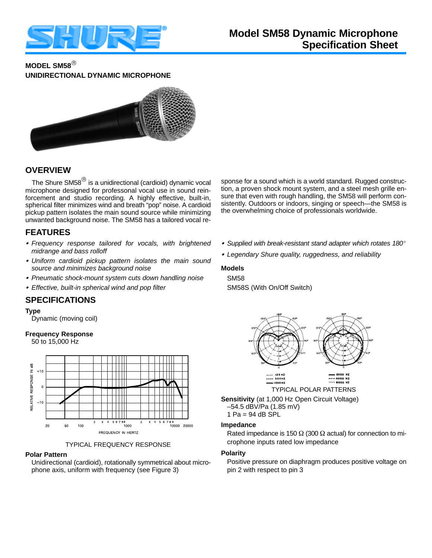

# **MODEL SM58 UNIDIRECTIONAL DYNAMIC MICROPHONE**



# **OVERVIEW**

The Shure SM58 $^{\circledR}$  is a unidirectional (cardioid) dynamic vocal microphone designed for professonal vocal use in sound reinforcement and studio recording. A highly effective, built-in, spherical filter minimizes wind and breath "pop" noise. A cardioid pickup pattern isolates the main sound source while minimizing unwanted background noise. The SM58 has a tailored vocal re-

# **FEATURES**

- *Frequency response tailored for vocals, with brightened midrange and bass rolloff*
- *Uniform cardioid pickup pattern isolates the main sound source and minimizes background noise*
- *Pneumatic shock-mount system cuts down handling noise*
- *Effective, built-in spherical wind and pop filter*

## **SPECIFICATIONS**

#### **Type**

Dynamic (moving coil)

### **Frequency Response**

50 to 15,000 Hz



TYPICAL FREQUENCY RESPONSE

#### **Polar Pattern**

Unidirectional (cardioid), rotationally symmetrical about microphone axis, uniform with frequency (see Figure 3)

sponse for a sound which is a world standard. Rugged construction, a proven shock mount system, and a steel mesh grille ensure that even with rough handling, the SM58 will perform consistently. Outdoors or indoors, singing or speech—the SM58 is the overwhelming choice of professionals worldwide.

- *Supplied with break-resistant stand adapter which rotates 180*
- *Legendary Shure quality, ruggedness, and reliability*

#### **Models**

# SM58

SM58S (With On/Off Switch)



–54.5 dBV/Pa (1.85 mV)

Rated impedance is 150  $\Omega$  (300  $\Omega$  actual) for connection to microphone inputs rated low impedance

#### **Polarity**

Positive pressure on diaphragm produces positive voltage on pin 2 with respect to pin 3